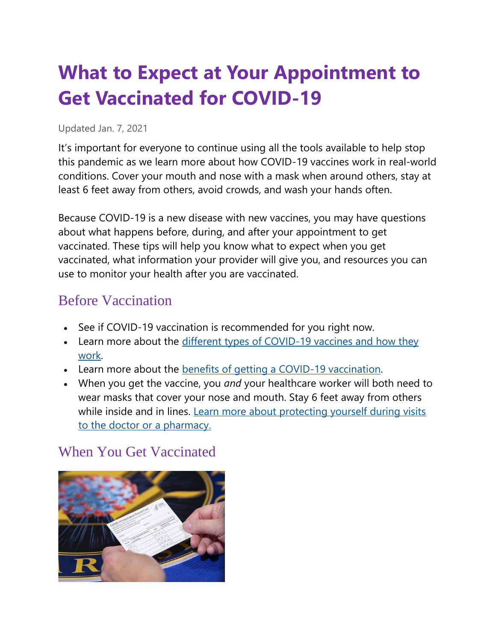# **What to Expect at Your Appointment to Get Vaccinated for COVID-19**

#### Updated Jan. 7, 2021

It's important for everyone to continue using all the tools available to help stop this pandemic as we learn more about how COVID-19 vaccines work in real-world conditions. Cover your mouth and nose with a mask when around others, stay at least 6 feet away from others, avoid crowds, and wash your hands often.

Because COVID-19 is a new disease with new vaccines, you may have questions about what happens before, during, and after your appointment to get vaccinated. These tips will help you know what to expect when you get vaccinated, what information your provider will give you, and resources you can use to monitor your health after you are vaccinated.

### Before Vaccination

- See if COVID-19 vaccination is recommended for you right now.
- Learn more about the [different types of COVID-19 vaccines and how they](https://www.cdc.gov/coronavirus/2019-ncov/vaccines/about-vaccines/how-they-work.html)  [work.](https://www.cdc.gov/coronavirus/2019-ncov/vaccines/about-vaccines/how-they-work.html)
- Learn more about the [benefits of getting a COVID-19 vaccination.](https://www.cdc.gov/coronavirus/2019-ncov/vaccines/about-vaccines/vaccine-benefits.html)
- When you get the vaccine, you *and* your healthcare worker will both need to wear masks that cover your nose and mouth. Stay 6 feet away from others while inside and in lines. Learn more about protecting yourself during visits [to the doctor or a pharmacy.](https://www.cdc.gov/coronavirus/2019-ncov/daily-life-coping/doctor-visits-medicine.html)

#### When You Get Vaccinated